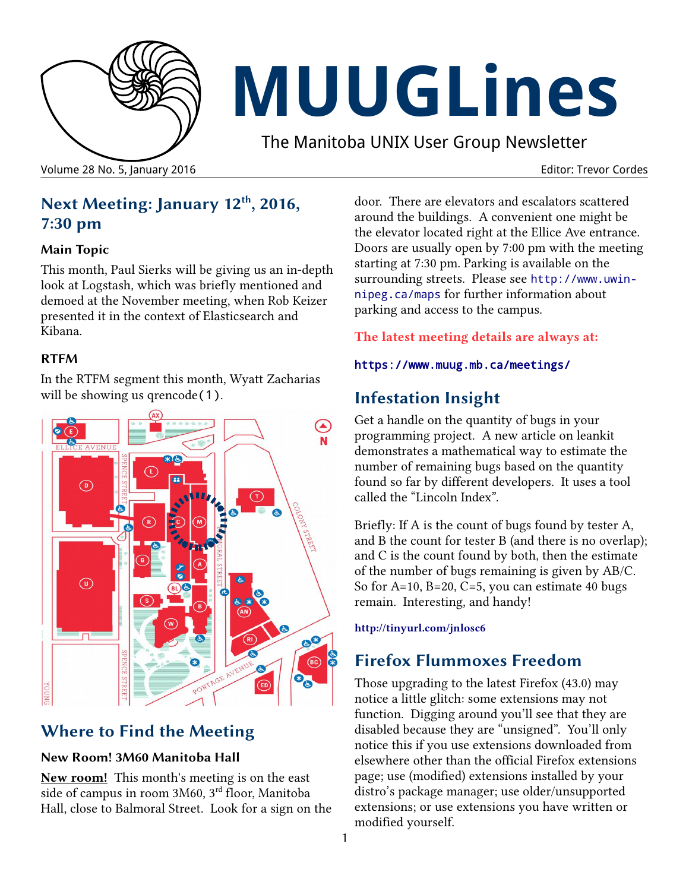

# **MUUGLines**

The Manitoba UNIX User Group Newsletter

Volume 28 No. 5, January 2016 **Editor: Trevor Cordes** Editor: Trevor Cordes

# **Next Meeting: January 12th, 2016, 7:30 pm**

#### **Main Topic**

This month, Paul Sierks will be giving us an in-depth look at Logstash, which was briefly mentioned and demoed at the November meeting, when Rob Keizer presented it in the context of Elasticsearch and Kibana.

### **RTFM**

In the RTFM segment this month, Wyatt Zacharias will be showing us qrencode(1).



# **Where to Find the Meeting**

#### **New Room! 3M60 Manitoba Hall**

**New room!** This month's meeting is on the east side of campus in room 3M60, 3rd floor, Manitoba Hall, close to Balmoral Street. Look for a sign on the door. There are elevators and escalators scattered around the buildings. A convenient one might be the elevator located right at the Ellice Ave entrance. Doors are usually open by 7:00 pm with the meeting starting at 7:30 pm. Parking is available on the surrounding streets. Please see [http://www.uwin](http://www.uwinnipeg.ca/maps)[nipeg.ca/maps](http://www.uwinnipeg.ca/maps) for further information about parking and access to the campus.

**The latest meeting details are always at:**

#### <https://www.muug.mb.ca/meetings/>

# **Infestation Insight**

Get a handle on the quantity of bugs in your programming project. A new article on leankit demonstrates a mathematical way to estimate the number of remaining bugs based on the quantity found so far by different developers. It uses a tool called the "Lincoln Index".

Briefly: If A is the count of bugs found by tester A, and B the count for tester B (and there is no overlap); and C is the count found by both, then the estimate of the number of bugs remaining is given by AB/C. So for A=10, B=20, C=5, you can estimate 40 bugs remain. Interesting, and handy!

**http://tinyurl.com/jnlosc6**

# **Firefox Flummoxes Freedom**

Those upgrading to the latest Firefox (43.0) may notice a little glitch: some extensions may not function. Digging around you'll see that they are disabled because they are "unsigned". You'll only notice this if you use extensions downloaded from elsewhere other than the official Firefox extensions page; use (modified) extensions installed by your distro's package manager; use older/unsupported extensions; or use extensions you have written or modified yourself.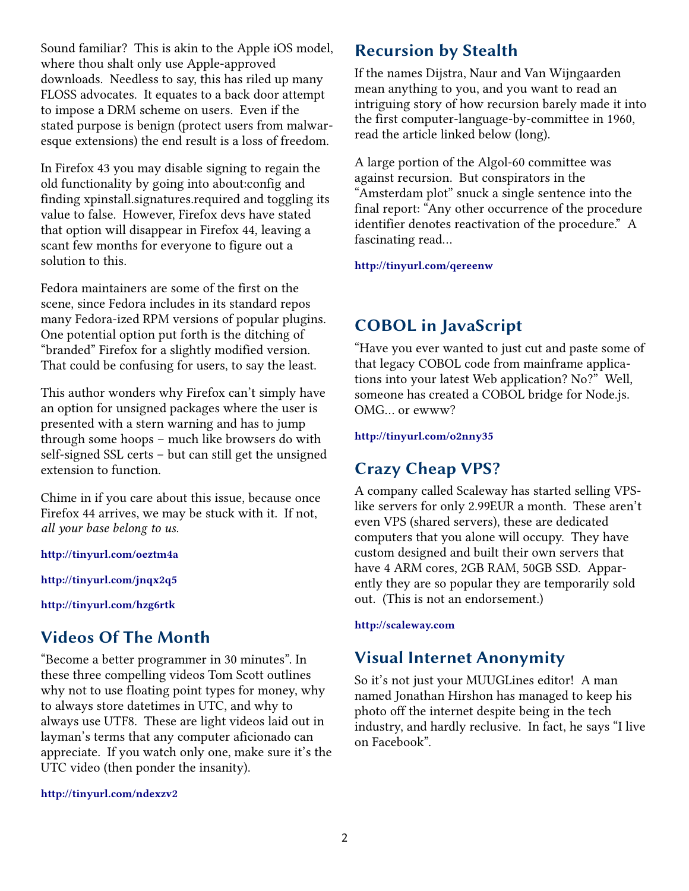Sound familiar? This is akin to the Apple iOS model, where thou shalt only use Apple-approved downloads. Needless to say, this has riled up many FLOSS advocates. It equates to a back door attempt to impose a DRM scheme on users. Even if the stated purpose is benign (protect users from malwaresque extensions) the end result is a loss of freedom.

In Firefox 43 you may disable signing to regain the old functionality by going into about:config and finding xpinstall.signatures.required and toggling its value to false. However, Firefox devs have stated that option will disappear in Firefox 44, leaving a scant few months for everyone to figure out a solution to this.

Fedora maintainers are some of the first on the scene, since Fedora includes in its standard repos many Fedora-ized RPM versions of popular plugins. One potential option put forth is the ditching of "branded" Firefox for a slightly modified version. That could be confusing for users, to say the least.

This author wonders why Firefox can't simply have an option for unsigned packages where the user is presented with a stern warning and has to jump through some hoops – much like browsers do with self-signed SSL certs – but can still get the unsigned extension to function.

Chime in if you care about this issue, because once Firefox 44 arrives, we may be stuck with it. If not, *all your base belong to us*.

**<http://tinyurl.com/oeztm4a>**

**<http://tinyurl.com/jnqx2q5>**

**[http://tinyurl.com/hzg6rtk](http://tinyurl.com/oeztm4a)**

## **Videos Of The Month**

"Become a better programmer in 30 minutes". In these three compelling videos Tom Scott outlines why not to use floating point types for money, why to always store datetimes in UTC, and why to always use UTF8. These are light videos laid out in layman's terms that any computer aficionado can appreciate. If you watch only one, make sure it's the UTC video (then ponder the insanity).

#### **http://tinyurl.com/ndexzv2**

## **Recursion by Stealth**

If the names Dijstra, Naur and Van Wijngaarden mean anything to you, and you want to read an intriguing story of how recursion barely made it into the first computer-language-by-committee in 1960, read the article linked below (long).

A large portion of the Algol-60 committee was against recursion. But conspirators in the "Amsterdam plot" snuck a single sentence into the final report: "Any other occurrence of the procedure identifier denotes reactivation of the procedure." A fascinating read…

**http://tinyurl.com/qereenw**

## **COBOL in JavaScript**

"Have you ever wanted to just cut and paste some of that legacy COBOL code from mainframe applications into your latest Web application? No?" Well, someone has created a COBOL bridge for Node.js. OMG… or ewww?

**http://tinyurl.com/o2nny35**

## **Crazy Cheap VPS?**

A company called Scaleway has started selling VPSlike servers for only 2.99EUR a month. These aren't even VPS (shared servers), these are dedicated computers that you alone will occupy. They have custom designed and built their own servers that have 4 ARM cores, 2GB RAM, 50GB SSD. Apparently they are so popular they are temporarily sold out. (This is not an endorsement.)

#### **[http://scaleway.com](http://scaleway.com/)**

## **Visual Internet Anonymity**

So it's not just your MUUGLines editor! A man named Jonathan Hirshon has managed to keep his photo off the internet despite being in the tech industry, and hardly reclusive. In fact, he says "I live on Facebook".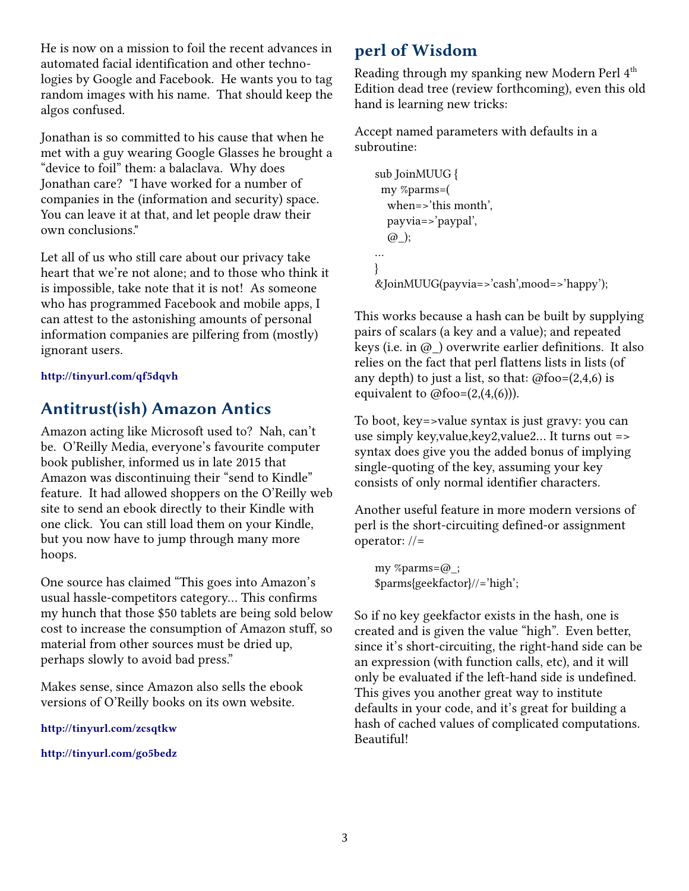He is now on a mission to foil the recent advances in automated facial identification and other technologies by Google and Facebook. He wants you to tag random images with his name. That should keep the algos confused.

Jonathan is so committed to his cause that when he met with a guy wearing Google Glasses he brought a "device to foil" them: a balaclava. Why does Jonathan care? "I have worked for a number of companies in the (information and security) space. You can leave it at that, and let people draw their own conclusions."

Let all of us who still care about our privacy take heart that we're not alone; and to those who think it is impossible, take note that it is not! As someone who has programmed Facebook and mobile apps, I can attest to the astonishing amounts of personal information companies are pilfering from (mostly) ignorant users.

#### **<http://tinyurl.com/qf5dqvh>**

## **Antitrust(ish) Amazon Antics**

Amazon acting like Microsoft used to? Nah, can't be. O'Reilly Media, everyone's favourite computer book publisher, informed us in late 2015 that Amazon was discontinuing their "send to Kindle" feature. It had allowed shoppers on the O'Reilly web site to send an ebook directly to their Kindle with one click. You can still load them on your Kindle, but you now have to jump through many more hoops.

One source has claimed "This goes into Amazon's usual hassle-competitors category… This confirms my hunch that those \$50 tablets are being sold below cost to increase the consumption of Amazon stuff, so material from other sources must be dried up, perhaps slowly to avoid bad press."

Makes sense, since Amazon also sells the ebook versions of O'Reilly books on its own website.

**<http://tinyurl.com/zcsqtkw>**

**http://tinyurl.com/go5bedz**

## **perl of Wisdom**

Reading through my spanking new Modern Perl 4<sup>th</sup> Edition dead tree (review forthcoming), even this old hand is learning new tricks:

Accept named parameters with defaults in a subroutine:

```
sub JoinMUUG {
  my %parms=(
   when=>'this month',
   payvia=>'paypal',
   @_);
…
}
&JoinMUUG(payvia=>'cash',mood=>'happy');
```
This works because a hash can be built by supplying pairs of scalars (a key and a value); and repeated keys (i.e. in  $\omega$ ) overwrite earlier definitions. It also relies on the fact that perl flattens lists in lists (of any depth) to just a list, so that:  $@foo=(2,4,6)$  is equivalent to  $@$ foo= $(2,(4,(6)))$ .

To boot, key=>value syntax is just gravy: you can use simply key,value,key2,value2… It turns out => syntax does give you the added bonus of implying single-quoting of the key, assuming your key consists of only normal identifier characters.

Another useful feature in more modern versions of perl is the short-circuiting defined-or assignment operator: //=

my %parms=@\_; \$parms{geekfactor}//='high';

So if no key geekfactor exists in the hash, one is created and is given the value "high". Even better, since it's short-circuiting, the right-hand side can be an expression (with function calls, etc), and it will only be evaluated if the left-hand side is undefined. This gives you another great way to institute defaults in your code, and it's great for building a hash of cached values of complicated computations. Beautiful!